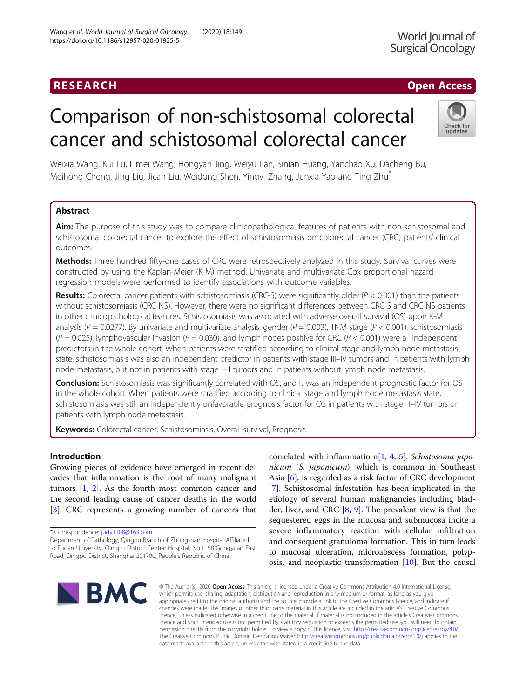# Comparison of non-schistosomal colorectal cancer and schistosomal colorectal cancer

Weixia Wang, Kui Lu, Limei Wang, Hongyan Jing, Weiyu Pan, Sinian Huang, Yanchao Xu, Dacheng Bu, Meihong Cheng, Jing Liu, Jican Liu, Weidong Shen, Yingyi Zhang, Junxia Yao and Ting Zhu\*

# Abstract

Aim: The purpose of this study was to compare clinicopathological features of patients with non-schistosomal and schistosomal colorectal cancer to explore the effect of schistosomiasis on colorectal cancer (CRC) patients' clinical outcomes.

Methods: Three hundred fifty-one cases of CRC were retrospectively analyzed in this study. Survival curves were constructed by using the Kaplan-Meier (K-M) method. Univariate and multivariate Cox proportional hazard regression models were performed to identify associations with outcome variables.

**Results:** Colorectal cancer patients with schistosomiasis (CRC-S) were significantly older ( $P < 0.001$ ) than the patients without schistosomiasis (CRC-NS). However, there were no significant differences between CRC-S and CRC-NS patients in other clinicopathological features. Schistosomiasis was associated with adverse overall survival (OS) upon K-M analysis ( $P = 0.0277$ ). By univariate and multivariate analysis, gender ( $P = 0.003$ ), TNM stage ( $P < 0.001$ ), schistosomiasis  $(P = 0.025)$ , lymphovascular invasion  $(P = 0.030)$ , and lymph nodes positive for CRC  $(P < 0.001)$  were all independent predictors in the whole cohort. When patients were stratified according to clinical stage and lymph node metastasis state, schistosomiasis was also an independent predictor in patients with stage III–IV tumors and in patients with lymph node metastasis, but not in patients with stage I–II tumors and in patients without lymph node metastasis.

**Conclusion:** Schistosomiasis was significantly correlated with OS, and it was an independent prognostic factor for OS in the whole cohort. When patients were stratified according to clinical stage and lymph node metastasis state, schistosomiasis was still an independently unfavorable prognosis factor for OS in patients with stage III–IV tumors or patients with lymph node metastasis.

Keywords: Colorectal cancer, Schistosomiasis, Overall survival, Prognosis

# Introduction

Growing pieces of evidence have emerged in recent decades that inflammation is the root of many malignant tumors [\[1](#page-8-0), [2](#page-8-0)]. As the fourth most common cancer and the second leading cause of cancer deaths in the world [[3\]](#page-8-0), CRC represents a growing number of cancers that

\* Correspondence: [judy1108@163.com](mailto:judy1108@163.com)

Department of Pathology, Qingpu Branch of Zhongshan Hospital Affiliated to Fudan University, Qingpu District Central Hospital, No.1158 Gongyuan East Road, Qingpu District, Shanghai 201700, People's Republic of China

correlated with inflammatio n[\[1](#page-8-0), [4](#page-8-0), [5\]](#page-8-0). Schistosoma japonicum (S. japonicum), which is common in Southeast Asia [[6](#page-8-0)], is regarded as a risk factor of CRC development [[7\]](#page-8-0). Schistosomal infestation has been implicated in the etiology of several human malignancies including bladder, liver, and CRC [[8,](#page-8-0) [9\]](#page-8-0). The prevalent view is that the sequestered eggs in the mucosa and submucosa incite a severe inflammatory reaction with cellular infiltration and consequent granuloma formation. This in turn leads to mucosal ulceration, microabscess formation, polyposis, and neoplastic transformation  $[10]$  $[10]$ . But the causal

© The Author(s), 2020 **Open Access** This article is licensed under a Creative Commons Attribution 4.0 International License, which permits use, sharing, adaptation, distribution and reproduction in any medium or format, as long as you give appropriate credit to the original author(s) and the source, provide a link to the Creative Commons licence, and indicate if changes were made. The images or other third party material in this article are included in the article's Creative Commons licence, unless indicated otherwise in a credit line to the material. If material is not included in the article's Creative Commons licence and your intended use is not permitted by statutory regulation or exceeds the permitted use, you will need to obtain permission directly from the copyright holder. To view a copy of this licence, visit [http://creativecommons.org/licenses/by/4.0/.](http://creativecommons.org/licenses/by/4.0/) The Creative Commons Public Domain Dedication waiver [\(http://creativecommons.org/publicdomain/zero/1.0/](http://creativecommons.org/publicdomain/zero/1.0/)) applies to the data made available in this article, unless otherwise stated in a credit line to the data.





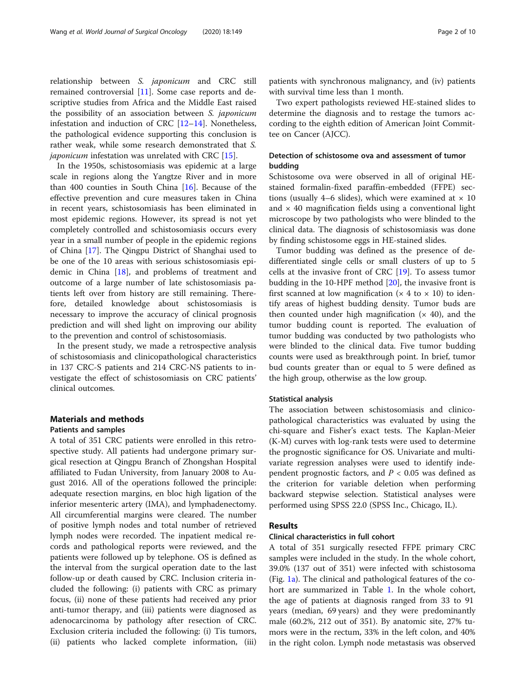relationship between S. japonicum and CRC still remained controversial [[11\]](#page-9-0). Some case reports and descriptive studies from Africa and the Middle East raised the possibility of an association between S. japonicum infestation and induction of CRC [[12](#page-9-0)–[14](#page-9-0)]. Nonetheless, the pathological evidence supporting this conclusion is rather weak, while some research demonstrated that S. *iaponicum* infestation was unrelated with CRC [\[15\]](#page-9-0).

In the 1950s, schistosomiasis was epidemic at a large scale in regions along the Yangtze River and in more than 400 counties in South China [\[16\]](#page-9-0). Because of the effective prevention and cure measures taken in China in recent years, schistosomiasis has been eliminated in most epidemic regions. However, its spread is not yet completely controlled and schistosomiasis occurs every year in a small number of people in the epidemic regions of China [[17](#page-9-0)]. The Qingpu District of Shanghai used to be one of the 10 areas with serious schistosomiasis epidemic in China [[18\]](#page-9-0), and problems of treatment and outcome of a large number of late schistosomiasis patients left over from history are still remaining. Therefore, detailed knowledge about schistosomiasis is necessary to improve the accuracy of clinical prognosis prediction and will shed light on improving our ability to the prevention and control of schistosomiasis.

In the present study, we made a retrospective analysis of schistosomiasis and clinicopathological characteristics in 137 CRC-S patients and 214 CRC-NS patients to investigate the effect of schistosomiasis on CRC patients' clinical outcomes.

# Materials and methods

# Patients and samples

A total of 351 CRC patients were enrolled in this retrospective study. All patients had undergone primary surgical resection at Qingpu Branch of Zhongshan Hospital affiliated to Fudan University, from January 2008 to August 2016. All of the operations followed the principle: adequate resection margins, en bloc high ligation of the inferior mesenteric artery (IMA), and lymphadenectomy. All circumferential margins were cleared. The number of positive lymph nodes and total number of retrieved lymph nodes were recorded. The inpatient medical records and pathological reports were reviewed, and the patients were followed up by telephone. OS is defined as the interval from the surgical operation date to the last follow-up or death caused by CRC. Inclusion criteria included the following: (i) patients with CRC as primary focus, (ii) none of these patients had received any prior anti-tumor therapy, and (iii) patients were diagnosed as adenocarcinoma by pathology after resection of CRC. Exclusion criteria included the following: (i) Tis tumors, (ii) patients who lacked complete information, (iii) patients with synchronous malignancy, and (iv) patients with survival time less than 1 month.

Two expert pathologists reviewed HE-stained slides to determine the diagnosis and to restage the tumors according to the eighth edition of American Joint Committee on Cancer (AJCC).

# Detection of schistosome ova and assessment of tumor budding

Schistosome ova were observed in all of original HEstained formalin-fixed paraffin-embedded (FFPE) sections (usually 4–6 slides), which were examined at  $\times$  10 and  $\times$  40 magnification fields using a conventional light microscope by two pathologists who were blinded to the clinical data. The diagnosis of schistosomiasis was done by finding schistosome eggs in HE-stained slides.

Tumor budding was defined as the presence of dedifferentiated single cells or small clusters of up to 5 cells at the invasive front of CRC [\[19](#page-9-0)]. To assess tumor budding in the 10-HPF method  $[20]$ , the invasive front is first scanned at low magnification ( $\times$  4 to  $\times$  10) to identify areas of highest budding density. Tumor buds are then counted under high magnification  $(x 40)$ , and the tumor budding count is reported. The evaluation of tumor budding was conducted by two pathologists who were blinded to the clinical data. Five tumor budding counts were used as breakthrough point. In brief, tumor bud counts greater than or equal to 5 were defined as the high group, otherwise as the low group.

# Statistical analysis

The association between schistosomiasis and clinicopathological characteristics was evaluated by using the chi-square and Fisher's exact tests. The Kaplan-Meier (K-M) curves with log-rank tests were used to determine the prognostic significance for OS. Univariate and multivariate regression analyses were used to identify independent prognostic factors, and  $P < 0.05$  was defined as the criterion for variable deletion when performing backward stepwise selection. Statistical analyses were performed using SPSS 22.0 (SPSS Inc., Chicago, IL).

# Results

# Clinical characteristics in full cohort

A total of 351 surgically resected FFPE primary CRC samples were included in the study. In the whole cohort, 39.0% (137 out of 351) were infected with schistosoma (Fig. [1a\)](#page-2-0). The clinical and pathological features of the cohort are summarized in Table [1](#page-3-0). In the whole cohort, the age of patients at diagnosis ranged from 33 to 91 years (median, 69 years) and they were predominantly male (60.2%, 212 out of 351). By anatomic site, 27% tumors were in the rectum, 33% in the left colon, and 40% in the right colon. Lymph node metastasis was observed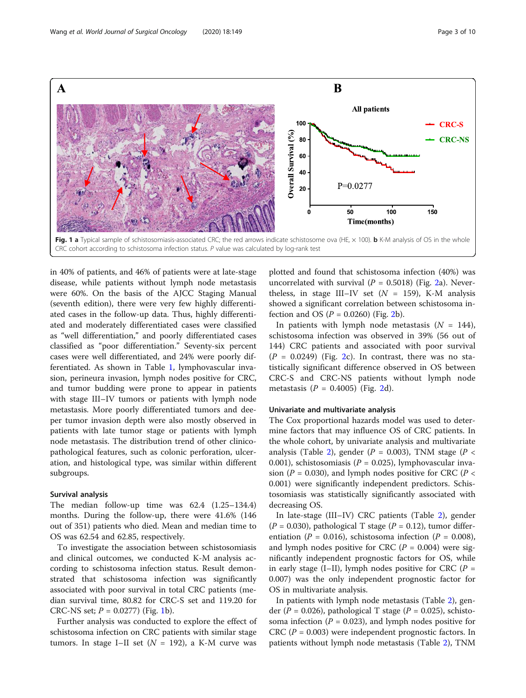<span id="page-2-0"></span>

in 40% of patients, and 46% of patients were at late-stage disease, while patients without lymph node metastasis were 60%. On the basis of the AJCC Staging Manual (seventh edition), there were very few highly differentiated cases in the follow-up data. Thus, highly differentiated and moderately differentiated cases were classified as "well differentiation," and poorly differentiated cases classified as "poor differentiation." Seventy-six percent cases were well differentiated, and 24% were poorly differentiated. As shown in Table [1,](#page-3-0) lymphovascular invasion, perineura invasion, lymph nodes positive for CRC, and tumor budding were prone to appear in patients with stage III–IV tumors or patients with lymph node metastasis. More poorly differentiated tumors and deeper tumor invasion depth were also mostly observed in patients with late tumor stage or patients with lymph node metastasis. The distribution trend of other clinicopathological features, such as colonic perforation, ulceration, and histological type, was similar within different subgroups.

## Survival analysis

The median follow-up time was 62.4 (1.25–134.4) months. During the follow-up, there were 41.6% (146 out of 351) patients who died. Mean and median time to OS was 62.54 and 62.85, respectively.

To investigate the association between schistosomiasis and clinical outcomes, we conducted K-M analysis according to schistosoma infection status. Result demonstrated that schistosoma infection was significantly associated with poor survival in total CRC patients (median survival time, 80.82 for CRC-S set and 119.20 for CRC-NS set;  $P = 0.0277$ ) (Fig. 1b).

Further analysis was conducted to explore the effect of schistosoma infection on CRC patients with similar stage tumors. In stage I–II set ( $N = 192$ ), a K-M curve was

plotted and found that schistosoma infection (40%) was uncorrelated with survival ( $P = 0.5018$ ) (Fig. [2](#page-4-0)a). Nevertheless, in stage III–IV set  $(N = 159)$ , K-M analysis showed a significant correlation between schistosoma infection and OS  $(P = 0.0260)$  (Fig. [2b](#page-4-0)).

In patients with lymph node metastasis  $(N = 144)$ , schistosoma infection was observed in 39% (56 out of 144) CRC patients and associated with poor survival  $(P = 0.0249)$  $(P = 0.0249)$  $(P = 0.0249)$  (Fig. 2c). In contrast, there was no statistically significant difference observed in OS between CRC-S and CRC-NS patients without lymph node metastasis  $(P = 0.4005)$  (Fig. [2](#page-4-0)d).

# Univariate and multivariate analysis

The Cox proportional hazards model was used to determine factors that may influence OS of CRC patients. In the whole cohort, by univariate analysis and multivariate analysis (Table [2\)](#page-5-0), gender ( $P = 0.003$ ), TNM stage ( $P <$ 0.001), schistosomiasis ( $P = 0.025$ ), lymphovascular invasion ( $P = 0.030$ ), and lymph nodes positive for CRC ( $P <$ 0.001) were significantly independent predictors. Schistosomiasis was statistically significantly associated with decreasing OS.

In late-stage (III–IV) CRC patients (Table [2](#page-5-0)), gender  $(P = 0.030)$ , pathological T stage  $(P = 0.12)$ , tumor differentiation ( $P = 0.016$ ), schistosoma infection ( $P = 0.008$ ), and lymph nodes positive for CRC ( $P = 0.004$ ) were significantly independent prognostic factors for OS, while in early stage (I–II), lymph nodes positive for CRC ( $P =$ 0.007) was the only independent prognostic factor for OS in multivariate analysis.

In patients with lymph node metastasis (Table [2\)](#page-5-0), gender ( $P = 0.026$ ), pathological T stage ( $P = 0.025$ ), schistosoma infection ( $P = 0.023$ ), and lymph nodes positive for CRC ( $P = 0.003$ ) were independent prognostic factors. In patients without lymph node metastasis (Table [2\)](#page-5-0), TNM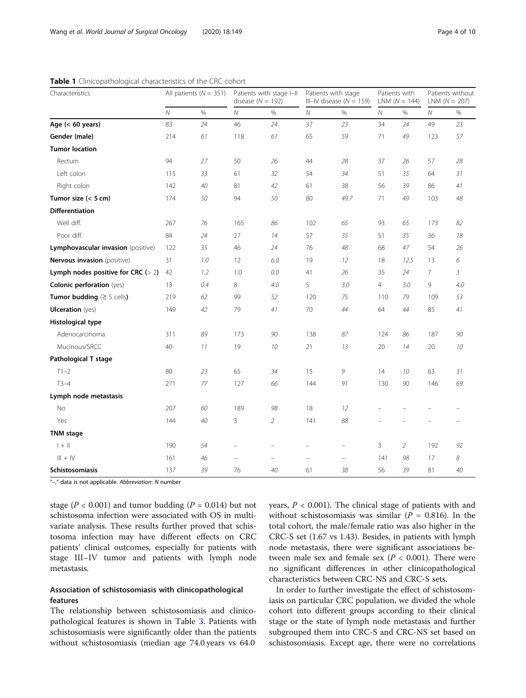| Characteristics                         |                | All patients ( $N = 351$ ) |                          | Patients with stage I-II<br>disease ( $N = 192$ ) |                          | Patients with stage<br>III-IV disease ( $N = 159$ ) |                | Patients with<br>$LNM (N = 144)$ |                | Patients without<br>$LNM (N = 207)$ |
|-----------------------------------------|----------------|----------------------------|--------------------------|---------------------------------------------------|--------------------------|-----------------------------------------------------|----------------|----------------------------------|----------------|-------------------------------------|
|                                         | $\overline{N}$ | $\%$                       | ${\cal N}$               | %                                                 | ${\cal N}$               | $\%$                                                | Ν              | $\%$                             | ${\cal N}$     | $\%$                                |
| Age $(< 60$ years)                      | 83             | 24                         | 46                       | 24                                                | 37                       | 23                                                  | 34             | 24                               | 49             | 23                                  |
| Gender (male)                           | 214            | 61                         | 118                      | 61                                                | 65                       | 59                                                  | 71             | 49                               | 123            | 57                                  |
| <b>Tumor location</b>                   |                |                            |                          |                                                   |                          |                                                     |                |                                  |                |                                     |
| Rectum                                  | 94             | 27                         | 50                       | 26                                                | 44                       | 28                                                  | 37             | 26                               | 57             | 28                                  |
| Left colon                              | 115            | 33                         | 61                       | 32                                                | 54                       | 34                                                  | 51             | 35                               | 64             | 31                                  |
| Right colon                             | 142            | 40                         | 81                       | 42                                                | 61                       | 38                                                  | 56             | 39                               | 86             | 41                                  |
| Tumor size $(< 5 cm)$                   | 174            | 50                         | 94                       | 50                                                | 80                       | 49.7                                                | 71             | 49                               | 103            | 48                                  |
| <b>Differentiation</b>                  |                |                            |                          |                                                   |                          |                                                     |                |                                  |                |                                     |
| Well diff.                              | 267            | 76                         | 165                      | 86                                                | 102                      | 65                                                  | 93             | 65                               | 173            | 82                                  |
| Poor diff.                              | 84             | 24                         | 27                       | 14                                                | 57                       | 35                                                  | 51             | 35                               | 36             | 18                                  |
| Lymphovascular invasion (positive)      | 122            | 35                         | 46                       | 24                                                | 76                       | 48                                                  | 68             | 47                               | 54             | 26                                  |
| Nervous invasion (positive)             | 31             | 1.0                        | 12                       | 6.0                                               | 19                       | 12                                                  | 18             | 12.5                             | 13             | 6                                   |
| Lymph nodes positive for CRC $(> 2)$    | 42             | 1.2                        | 1.0                      | 0.0                                               | 41                       | 26                                                  | 35             | 24                               | $\overline{7}$ | 3                                   |
| <b>Colonic perforation (yes)</b>        | 13             | 0.4                        | 8                        | 4.0                                               | 5                        | 3.0                                                 | $\overline{4}$ | 3.0                              | 9              | 4.0                                 |
| Tumor budding $( \geq 5 \text{ cells})$ | 219            | 62                         | 99                       | 52                                                | 120                      | 75                                                  | 110            | 79                               | 109            | 53                                  |
| <b>Ulceration</b> (yes)                 | 149            | 42                         | 79                       | 41                                                | 70                       | 44                                                  | 64             | 44                               | 85             | 41                                  |
| Histological type                       |                |                            |                          |                                                   |                          |                                                     |                |                                  |                |                                     |
| Adenocarcinoma                          | 311            | 89                         | 173                      | 90                                                | 138                      | 87                                                  | 124            | 86                               | 187            | 90                                  |
| Mucinous/SRCC                           | 40             | 11                         | 19                       | 10                                                | 21                       | 13                                                  | 20             | 14                               | 20             | 10                                  |
| Pathological T stage                    |                |                            |                          |                                                   |                          |                                                     |                |                                  |                |                                     |
| $T1-2$                                  | 80             | 23                         | 65                       | 34                                                | 15                       | 9                                                   | 14             | 10                               | 63             | 31                                  |
| $T3-4$                                  | 271            | 77                         | 127                      | 66                                                | 144                      | 91                                                  | 130            | 90                               | 146            | 69                                  |
| Lymph node metastasis                   |                |                            |                          |                                                   |                          |                                                     |                |                                  |                |                                     |
| No                                      | 207            | 60                         | 189                      | 98                                                | 18                       | 12                                                  |                |                                  |                |                                     |
| Yes                                     | 144            | 40                         | 3                        | $\overline{2}$                                    | 141                      | 88                                                  |                |                                  |                |                                     |
| <b>TNM</b> stage                        |                |                            |                          |                                                   |                          |                                                     |                |                                  |                |                                     |
| $+$ $\parallel$                         | 190            | 54                         |                          |                                                   |                          | -                                                   | 3              | $\overline{2}$                   | 192            | 92                                  |
| $III + IV$                              | 161            | 46                         | $\overline{\phantom{0}}$ | $\overline{\phantom{m}}$                          | $\overline{\phantom{m}}$ | $\qquad \qquad -$                                   | 141            | 98                               | 17             | 8                                   |
| <b>Schistosomiasis</b>                  | 137            | 39                         | 76                       | 40                                                | 61                       | 38                                                  | 56             | 39                               | 81             | 40                                  |

<span id="page-3-0"></span>Table 1 Clinicopathological characteristics of the CRC cohort

"–," data is not applicable. Abbreviation: N number

stage ( $P < 0.001$ ) and tumor budding ( $P = 0.014$ ) but not schistosoma infection were associated with OS in multivariate analysis. These results further proved that schistosoma infection may have different effects on CRC patients' clinical outcomes, especially for patients with stage III–IV tumor and patients with lymph node metastasis.

# Association of schistosomiasis with clinicopathological features

The relationship between schistosomiasis and clinicopathological features is shown in Table [3](#page-6-0). Patients with schistosomiasis were significantly older than the patients without schistosomiasis (median age 74.0 years vs 64.0

years,  $P < 0.001$ ). The clinical stage of patients with and without schistosomiasis was similar ( $P = 0.816$ ). In the total cohort, the male/female ratio was also higher in the CRC-S set (1.67 vs 1.43). Besides, in patients with lymph node metastasis, there were significant associations between male sex and female sex ( $P < 0.001$ ). There were no significant differences in other clinicopathological characteristics between CRC-NS and CRC-S sets.

In order to further investigate the effect of schistosomiasis on particular CRC population, we divided the whole cohort into different groups according to their clinical stage or the state of lymph node metastasis and further subgrouped them into CRC-S and CRC-NS set based on schistosomiasis. Except age, there were no correlations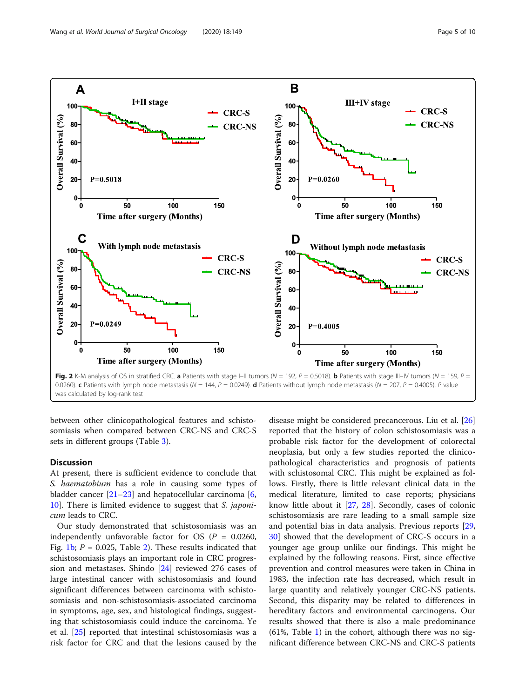<span id="page-4-0"></span>

was calculated by log-rank test

between other clinicopathological features and schistosomiasis when compared between CRC-NS and CRC-S sets in different groups (Table [3\)](#page-6-0).

# Discussion

At present, there is sufficient evidence to conclude that S. *haematobium* has a role in causing some types of bladder cancer [[21](#page-9-0)–[23](#page-9-0)] and hepatocellular carcinoma [\[6](#page-8-0), [10\]](#page-9-0). There is limited evidence to suggest that S. japonicum leads to CRC.

Our study demonstrated that schistosomiasis was an independently unfavorable factor for OS ( $P = 0.0260$ , Fig. [1b;](#page-2-0)  $P = 0.025$  $P = 0.025$  $P = 0.025$ , Table 2). These results indicated that schistosomiasis plays an important role in CRC progression and metastases. Shindo [\[24\]](#page-9-0) reviewed 276 cases of large intestinal cancer with schistosomiasis and found significant differences between carcinoma with schistosomiasis and non-schistosomiasis-associated carcinoma in symptoms, age, sex, and histological findings, suggesting that schistosomiasis could induce the carcinoma. Ye et al. [\[25](#page-9-0)] reported that intestinal schistosomiasis was a risk factor for CRC and that the lesions caused by the

disease might be considered precancerous. Liu et al. [[26](#page-9-0)] reported that the history of colon schistosomiasis was a probable risk factor for the development of colorectal neoplasia, but only a few studies reported the clinicopathological characteristics and prognosis of patients with schistosomal CRC. This might be explained as follows. Firstly, there is little relevant clinical data in the medical literature, limited to case reports; physicians know little about it [[27,](#page-9-0) [28\]](#page-9-0). Secondly, cases of colonic schistosomiasis are rare leading to a small sample size and potential bias in data analysis. Previous reports [[29](#page-9-0), [30\]](#page-9-0) showed that the development of CRC-S occurs in a younger age group unlike our findings. This might be explained by the following reasons. First, since effective prevention and control measures were taken in China in 1983, the infection rate has decreased, which result in large quantity and relatively younger CRC-NS patients. Second, this disparity may be related to differences in hereditary factors and environmental carcinogens. Our results showed that there is also a male predominance  $(61\%$  $(61\%$  $(61\%$ , Table 1) in the cohort, although there was no significant difference between CRC-NS and CRC-S patients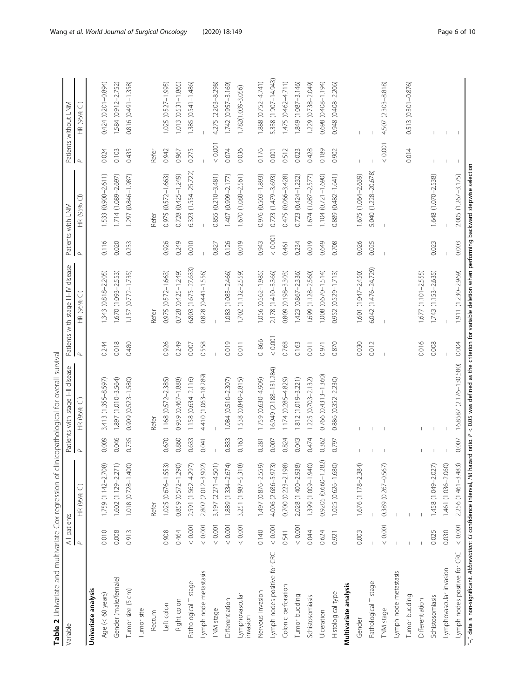<span id="page-5-0"></span>

| Table 2 Univariate and multivariate Cox regression of clinicopathological for overall survival<br>Variable                                                                                  |                          |                             |          | Patients with stage I-II disease |          | Patients with stage III-IV disease |          | Patients with LNM    |          | Patients without LNM     |
|---------------------------------------------------------------------------------------------------------------------------------------------------------------------------------------------|--------------------------|-----------------------------|----------|----------------------------------|----------|------------------------------------|----------|----------------------|----------|--------------------------|
|                                                                                                                                                                                             | All patients<br>$\Delta$ | $\widehat{\cup}$<br>HR (95% | $\Delta$ | HR (95% CI)                      | $\Delta$ | HR (95% CI)                        | $\Delta$ | HR (95% CI)          | $\Delta$ | HR (95% CI)              |
| Univariate analysis                                                                                                                                                                         |                          |                             |          |                                  |          |                                    |          |                      |          |                          |
| Age (< 60 years)                                                                                                                                                                            | 0.010                    | 1.759 (1.142-2.708)         | 0.009    | 3.413 (1.355-8.597)              | 0.244    | 343 (0.818-2.205)                  | 0.116    | 533 (0.900-2.611)    | 0.024    | 0.424 (0.201-0.894)      |
| Gender (male/female)                                                                                                                                                                        | 0.008                    | 1.602 (1.129-2.271)         | 0.046    | 1.897 (1.010-3.564)              | 0.018    | 1.670 (1.093-2.553)                | 0.020    | 1.714 (1.089-2.697)  | 0.103    | 1.584 (0.912-2.752)      |
| Tumor size (5 cm)                                                                                                                                                                           | 0.913                    | 1.018 (0.728-1.400)         | 0.735    | 0.909 (0.523-1.580)              | 0.480    | 1.157 (0.772-1.735)                | 0.233    | 1.297 (0.846-1.987)  | 0.435    | 0.816 (0.491-1.358)      |
| Tumor site                                                                                                                                                                                  |                          |                             |          |                                  |          |                                    |          |                      |          |                          |
| Rectum                                                                                                                                                                                      |                          | Refer                       |          | Refer                            |          | Refer                              |          | Refer                | Refer    |                          |
| Left colon                                                                                                                                                                                  | 0.908                    | 1.025 (0.676-1.553)         | 0.670    | 1.168 (0.572-2.385)              | 0.926    | 0.975 (0.572-1.663)                | 0.926    | 0.975 (0.572-1.663)  | 0.942    | 1.025 (0.527-1.995)      |
| Right colon                                                                                                                                                                                 | 0.464                    | 0.859 (0.572-1.290)         | 0.860    | 0.939 (0.467-1.888)              | 0.249    | 0.728 (0.425-1.249)                | 0.249    | 0.728 (0.425-1.249)  | 0.967    | 1.013 (0.531-1.865)      |
| Pathological T stage                                                                                                                                                                        | $<0.001$                 | 2.591 (1.562-4.297)         | 0.633    | 1.158 (0.634-2.116)              | 0.007    | 5.803 (1.675-27.633)               | 0.010    | 6.323 (1.554-25.722) | 0.275    | 1.385 (0.541-1.486)      |
| Lymph node metastasis                                                                                                                                                                       | $<0.001$                 | 2.802 (2.012-3.902)         | 0.041    | 4.410 (1.063-18.289)             | 0.558    | 0.828 (0.441-1.556)                |          |                      |          |                          |
| TNM stage                                                                                                                                                                                   | $<0.001$                 | 3.197 (2.271-4.501)         |          |                                  |          |                                    | 0.827    | 0.855 (0.210-3.481)  | $<0.001$ | 4.275 (2.203-8.298)      |
| Differentiation                                                                                                                                                                             | $<0.001$                 | 1.889 (1.334-2.674)         | 0.833    | $1.084(0.510 - 2.307)$           | 0.019    | 1.083 (1.083-2.466)                | 0.126    | 1.407 (0.909-2.177)  | 0.074    | 1.742 (0.957-3.169)      |
| Lymphovascular<br>invasion                                                                                                                                                                  | $<0.001$                 | 3.251 (1.987-5.318)         | 0.163    | 1.538 (0.840-2.815)              | 0.011    | 1.702 (1.132-2.559)                | 0.019    | 1.670 (1.088-2.561)  | 0.036    | 1.782(1.039-3.056)       |
| Nervous invasion                                                                                                                                                                            | 0.140                    | 1.497 (0.876-2.559)         | 0.281    | 1.759 (0.630-4.909)              | 0.866    | 1.056 (0.562-1.985)                | 0.943    | 0.976 (0.503-1.893)  | 0.176    | 1.888 (0.752-4.741)      |
| Lymph nodes positive for CRC                                                                                                                                                                | 0.001                    | 4.006 (2.686-5.973)         | 0.007    | 16.949 (2.188-131.284)           | $<0.001$ | 2.178 (1.410-3.366)                | $<0.001$ | 0.723 (1.479-3.693)  | 0.001    | 5.338 (1.907-14.943)     |
| Colonic perforation                                                                                                                                                                         | 0.541                    | 0.700 (0.223-2.198)         | 0.824    | $1.174(0.285 - 4.829)$           | 0.768    | 0.809 (0.198-3.303)                | 0.461    | 0.475 (0.066-3.428)  | 0.512    | 1.475 (0.462-4.711)      |
| Tumor budding                                                                                                                                                                               | < 0.001                  | 2.028 (1.400-2.938)         | 0.043    | 1.812 (1.019-3.221)              | 0.163    | (423 (0.867-2.336)                 | 0.234    | 0.723 (0.424-1.232)  | 0.023    | 1.849 (1.087-3.146)      |
| Schistosomiasis                                                                                                                                                                             | 0.044                    | 1.399 (1.009-1.940)         | 0.474    | 1.225 (0.703-2.132)              | 0.011    | 1.699 (1.128-2.560)                | 0.019    | 1.674 (1.087-2.577)  | 0.428    | 1,229 (0.738-2.049)      |
| Ulceration                                                                                                                                                                                  | 0.624                    | 0.9205 (0.660-1.282)        | 0.362    | 0.766 (0.4313-1.360)             | 0.971    | 1.008 (0.670-1.514)                | 0.649    | 1.104 (0.721-1.690)  | 0.189    | 0.698 (0.408-1.194)      |
| Histological type                                                                                                                                                                           | 0.921                    | 1.025 (0.626-1.680)         | 0.797    | 0.886 (0.352-2.230)              | 0.870    | 0.952 (0.529-1.713)                | 0.708    | 0.889 (0.482-1.641)  | 0.902    | 0.948 (0.408-2.206)      |
| Multivariate analysis                                                                                                                                                                       |                          |                             |          |                                  |          |                                    |          |                      |          |                          |
| Gender                                                                                                                                                                                      | 0.003                    | 1.676 (1.178-2.384)         |          |                                  | 0.030    | 1.601 (1.047-2.450)                | 0.026    | 1.675 (1.064-2.639)  |          |                          |
| Pathological T stage                                                                                                                                                                        |                          |                             |          |                                  | 0.012    | 6.042 (1.476-24.729)               | 0.025    | 5.040 (1.228-20.678) |          |                          |
| TNM stage                                                                                                                                                                                   | $<0.001$                 | 0.389 (0.267-0.567)         |          |                                  |          |                                    |          |                      | < 0.001  | 4.507 (2.303-8.818)      |
| Lymph node metastasis                                                                                                                                                                       |                          |                             |          |                                  |          |                                    |          |                      |          |                          |
| Tumor budding                                                                                                                                                                               |                          |                             |          |                                  |          |                                    |          |                      | 0.014    | 0.513 (0.301-0.876)      |
| Differentiation                                                                                                                                                                             |                          |                             |          |                                  | 0.016    | 1.677 (1.101-2.555)                |          |                      |          |                          |
| Schistosomiasis                                                                                                                                                                             | 0.025                    | 1.458 (1.049-2.027)         |          |                                  | 0.008    | 1.743 (1.153-2.635)                | 0.023    | 1.648 (1.070-2.538)  |          |                          |
| Lymphovascular invasion                                                                                                                                                                     | 0.030                    | 1.461 (1.036-2.060)         |          |                                  |          |                                    |          |                      |          |                          |
| Lymph nodes positive for CRC                                                                                                                                                                | ${}_{<0.001}$            | 2.256 (1.461-3.483)         | 0.007    | 16.8587 (2.176-130.580)          | 0.004    | 1.911 (1.230-2.969)                | 0.003    | 2.005 (1.267-3.175)  |          | $\overline{\phantom{0}}$ |
| "-" data is non-significant. Abbreviation: CI confidence interval, HR hazard ratio. P < 0.05 was defined as the criterion for variable deletion when performing backward stepwise selection |                          |                             |          |                                  |          |                                    |          |                      |          |                          |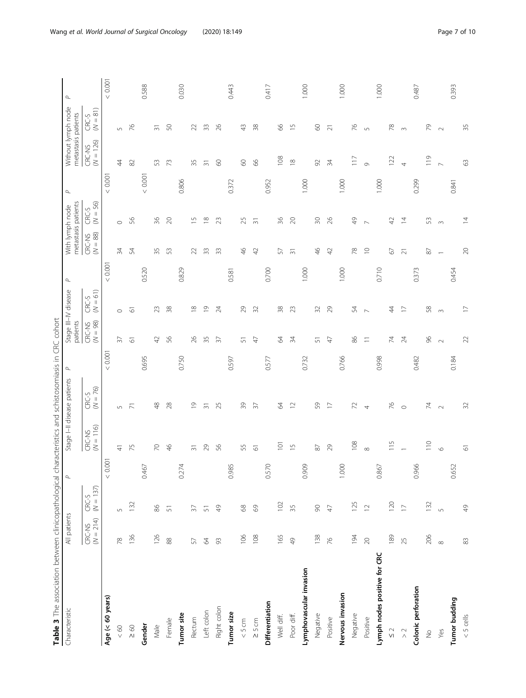<span id="page-6-0"></span>

| <b>CONTROLLERATORS</b>       |                       |                      |                 | Criquident definition of the Series of the Series of the Series |                             | $\leq$        | DI<br>DI<br>D                    |                     |                 |                                        |                     |          |                                           |                                   |          |
|------------------------------|-----------------------|----------------------|-----------------|-----------------------------------------------------------------|-----------------------------|---------------|----------------------------------|---------------------|-----------------|----------------------------------------|---------------------|----------|-------------------------------------------|-----------------------------------|----------|
| Characteristic               | All patients          |                      | $\Delta$        |                                                                 | Stage I-II disease patients | $\mathcal{Q}$ | Stage III-IV disease<br>patients |                     | $\Delta$        | metastasis patients<br>With lymph node |                     | $\Delta$ | Without lymph node<br>metastasis patients |                                   | $\Delta$ |
|                              | $(N = 214)$<br>CRC-NS | $CRC-S$<br>(N = 137) |                 | $(N = 116)$<br>CRC-NS                                           | $CRC-S$<br>(N = 76)         |               | $(N = 98)$<br>CRC-NS             | $(N = 61)$<br>CRC-S |                 | $(N=88)$<br>CRC-NS                     | $CRC-S$<br>(N = 56) |          | $(N = 126)$<br>CRC-NS                     | $\widehat{81}$<br>CRC-S<br>$\leq$ |          |
| Age (< 60 years)             |                       |                      | 0.001<br>$\vee$ |                                                                 |                             | < 0.001       |                                  |                     | 0.001<br>$\vee$ |                                        |                     | $<0.001$ |                                           |                                   | $<0.001$ |
| $<60$                        | 78                    | $\sqrt{2}$           |                 | 4                                                               | $\cup$                      |               | $\overline{37}$                  | $\circ$             |                 | 34                                     | $\circ$             |          | $\overline{4}$                            | $\sqrt{2}$                        |          |
| $\geq 60$                    | 136                   | 132                  |                 | 75                                                              | $\overline{2}$              |               | $\overline{\circ}$               | $\overline{6}$      |                 | 54                                     | S6                  |          | $\approx$                                 | 76                                |          |
| Gender                       |                       |                      | 0.467           |                                                                 |                             | 0.695         |                                  |                     | 0.520           |                                        |                     | < 0.001  |                                           |                                   | 0.588    |
| Male                         | 126                   | $86$                 |                 | $\overline{70}$                                                 | $\frac{8}{4}$               |               | $\overline{4}$                   | 23                  |                 | 35                                     | 36                  |          | 53                                        | $\overline{5}$                    |          |
| Female                       | 88                    | $\overline{5}$       |                 | $\frac{4}{6}$                                                   | $28$                        |               | 56                               | 38                  |                 | 53                                     | $\overline{20}$     |          | 73                                        | 50                                |          |
| Tumor site                   |                       |                      | 0.274           |                                                                 |                             | 0.750         |                                  |                     | 0.829           |                                        |                     | 0.806    |                                           |                                   | 0.030    |
| Rectum                       | $\sqrt{5}$            | $\overline{37}$      |                 | $\overline{3}$                                                  | $\overline{0}$              |               | $\beta$                          | $\approx$           |                 | $\approx$                              | $\overline{5}$      |          | 35                                        | $\approx$                         |          |
| Left colon                   | $\mathcal{Z}$         | $\overline{5}$       |                 | 29                                                              | $\overline{3}$              |               | 35                               | $\overline{0}$      |                 | 33                                     | $\frac{8}{1}$       |          | $\overline{31}$                           | 33                                |          |
| Right colon                  | 93                    | $\frac{9}{4}$        |                 | 56                                                              | 25                          |               | $\overline{37}$                  | $\overline{24}$     |                 | 33                                     | 23                  |          | $\odot$                                   | 26                                |          |
| Tumor size                   |                       |                      | 0.985           |                                                                 |                             | 0.597         |                                  |                     | 0.581           |                                        |                     | 0.372    |                                           |                                   | 0.443    |
| $< 5 cm$                     | 106                   | $68$                 |                 | 55                                                              | 39                          |               | 51                               | 29                  |                 | $\frac{4}{5}$                          | 25                  |          | $\infty$                                  | $\frac{1}{2}$                     |          |
| $\geq$ 5 cm                  | $108$                 | 69                   |                 | $\overline{\circ}$                                              | 37                          |               | $\overline{4}$                   | 32                  |                 | $\overline{4}$                         | $\overline{3}$      |          | $\infty$                                  | 38                                |          |
| Differentiation              |                       |                      | 0.570           |                                                                 |                             | 0.577         |                                  |                     | 0.700           |                                        |                     | 0.952    |                                           |                                   | 0.417    |
| Well diff.                   | 165                   | 102                  |                 | $\overline{a}$                                                  | $\mathcal{R}$               |               | $\mathcal{R}$                    | 38                  |                 | 57                                     | 36                  |          | 108                                       | 8                                 |          |
| Poor diff.                   | $\frac{1}{6}$         | 35                   |                 | $\overline{1}$                                                  | $\square$                   |               | 34                               | 23                  |                 | $\overline{31}$                        | $\gtrsim$           |          | $\approx$                                 | $\overline{1}$                    |          |
| Lymphovascular invasion      |                       |                      | 0.909           |                                                                 |                             | 0.732         |                                  |                     | 1.000           |                                        |                     | 1.000    |                                           |                                   | 1.000    |
| Negative                     | 138                   | $\infty$             |                 | $\rm 87$                                                        | 59                          |               | 5                                | 32                  |                 | $\frac{4}{6}$                          | $\approx$           |          | $\Im$                                     | $\odot$                           |          |
| Positive                     | 76                    | 47                   |                 | 29                                                              | $\Box$                      |               | $\overline{4}$                   | 29                  |                 | $\overline{4}$                         | 26                  |          | 34                                        | $\overline{z}$                    |          |
| Nervous invasion             |                       |                      | 1.000           |                                                                 |                             | 0.766         |                                  |                     | 1.000           |                                        |                     | 1.000    |                                           |                                   | 1.000    |
| Negative                     | 194                   | 125                  |                 | 108                                                             | $\mathcal{L}$               |               | 86                               | 54                  |                 | 78                                     | Q<br>4              |          | $\overline{11}$                           | 76                                |          |
| Positive                     | $\gtrsim$             | $\overline{1}$       |                 | $\infty$                                                        | 4                           |               | $\equiv$                         | $\triangleright$    |                 | $\supseteq$                            | $\sim$              |          | $\circ$                                   | $\cup$                            |          |
| Lymph nodes positive for CRC |                       |                      | 0.867           |                                                                 |                             | 0.998         |                                  |                     | 0.710           |                                        |                     | 1.000    |                                           |                                   | 1.000    |
| $\frac{1}{2}$                | 189                   | 120                  |                 | $\frac{5}{11}$                                                  | $\%$                        |               | 74                               | 4                   |                 | 67                                     | क्                  |          | 122                                       | 78                                |          |
| $\geq$ $\geq$                | 25                    | $\overline{1}$       |                 |                                                                 | $\circ$                     |               | $\approx$                        | $\overline{C}$      |                 | $\overline{c}$                         | $\overline{4}$      |          | 4                                         | $\sim$                            |          |
| Colonic perforation          |                       |                      | 0.966           |                                                                 |                             | 0.482         |                                  |                     | 0.373           |                                        |                     | 0.299    |                                           |                                   | 0.487    |
| $\frac{\circ}{2}$            | 206                   | 132                  |                 | $\frac{1}{10}$                                                  | $\overline{7}$              |               | S                                | 58                  |                 | $\rm 87$                               | 53                  |          | $\frac{1}{2}$                             | 56                                |          |
| Yes                          | $\infty$              | $\sqrt{2}$           |                 | $\circ$                                                         | $\sim$                      |               | $\sim$                           | $\infty$            |                 | $\overline{\phantom{0}}$               | $\infty$            |          | $\overline{D}$                            | $\sim$                            |          |
| Tumor budding                |                       |                      | 0.652           |                                                                 |                             | 0.184         |                                  |                     | 0.454           |                                        |                     | 0.841    |                                           |                                   | 0.393    |
| $< 5$ cells                  | $\infty$              | 49                   |                 | $\overline{6}$                                                  | 32                          |               | 22                               | $\overline{1}$      |                 | $\gtrsim$                              | $\overline{4}$      |          | $\Im$                                     | 35                                |          |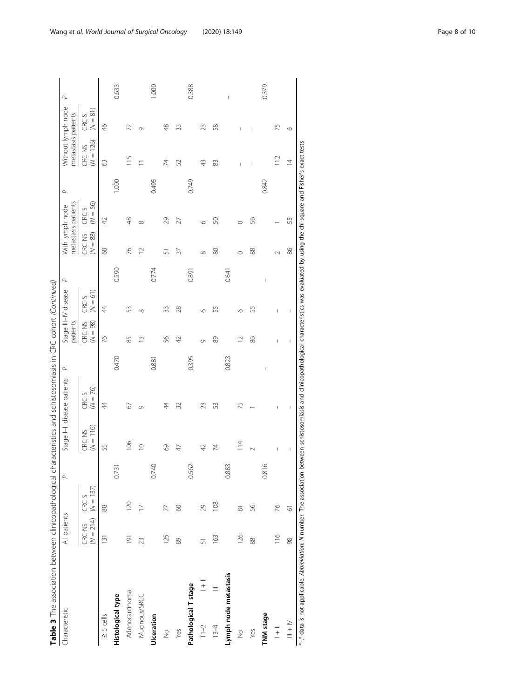| Characteristic          | All patients   |                                  | $\Delta$        |                       | Stage I-II disease patients | $\Delta$ | patients                                                                                                                                                                                                                                                                                                                                                                         | Stage III-IV disease                                                                                                                                                                                                                                                                                                                                                             | $\sigma$ | metastasis patients<br>With lymph node |                     | $\sigma$ | metastasis patients   | Without lymph node  | $\Delta$ |
|-------------------------|----------------|----------------------------------|-----------------|-----------------------|-----------------------------|----------|----------------------------------------------------------------------------------------------------------------------------------------------------------------------------------------------------------------------------------------------------------------------------------------------------------------------------------------------------------------------------------|----------------------------------------------------------------------------------------------------------------------------------------------------------------------------------------------------------------------------------------------------------------------------------------------------------------------------------------------------------------------------------|----------|----------------------------------------|---------------------|----------|-----------------------|---------------------|----------|
|                         | CRC-NS         | $(N = 214)$ $(N = 137)$<br>CRC-S |                 | $(N = 116)$<br>CRC-NS | $(N = 76)$<br>CRC-S         |          | $(N = 98)$<br>CRC-NS                                                                                                                                                                                                                                                                                                                                                             | $(N = 61)$<br>CRC-S                                                                                                                                                                                                                                                                                                                                                              |          | $(N = 88)$<br>CRC-NS                   | $(N = 56)$<br>CRC-S |          | $(N = 126)$<br>CRC-NS | $(N = 81)$<br>CRC-S |          |
| $\geq$ 5 cells          | 131            | 88                               |                 | 55                    | 4                           |          | 76                                                                                                                                                                                                                                                                                                                                                                               | $\ddot{4}$                                                                                                                                                                                                                                                                                                                                                                       |          | 8                                      | $\overline{4}$      |          | $\Im$                 | $\frac{4}{6}$       |          |
| Histological type       |                |                                  | 0.731           |                       |                             | 0.470    |                                                                                                                                                                                                                                                                                                                                                                                  |                                                                                                                                                                                                                                                                                                                                                                                  | 0.590    |                                        |                     | 1.000    |                       |                     | 0.633    |
| Adenocarcinoma          | $\overline{9}$ | 120                              |                 | 106                   | 2                           |          | 85                                                                                                                                                                                                                                                                                                                                                                               | 53                                                                                                                                                                                                                                                                                                                                                                               |          | 26                                     | 48                  |          | $\frac{5}{1}$         | 72                  |          |
| Mucinous/SRCC           | 23             | $\overline{1}$                   |                 | $\supseteq$           | 0                           |          | $\frac{3}{2}$                                                                                                                                                                                                                                                                                                                                                                    | $\infty$                                                                                                                                                                                                                                                                                                                                                                         |          | $\overline{C}$                         | $\infty$            |          | $\equiv$              | Ō                   |          |
| Ulceration              |                |                                  | 0.740           |                       |                             | 0.88     |                                                                                                                                                                                                                                                                                                                                                                                  |                                                                                                                                                                                                                                                                                                                                                                                  | 0.774    |                                        |                     | 0.495    |                       |                     | 1.000    |
| $\frac{1}{2}$           | 125            | 77                               |                 | 69                    | 4                           |          | 56                                                                                                                                                                                                                                                                                                                                                                               | 33                                                                                                                                                                                                                                                                                                                                                                               |          | 5                                      | 29                  |          | 74                    | $\frac{8}{4}$       |          |
| Yes                     | 89             | 8                                |                 | $\overline{4}$        | 32                          |          | 42                                                                                                                                                                                                                                                                                                                                                                               | 28                                                                                                                                                                                                                                                                                                                                                                               |          | 37                                     | 27                  |          | 52                    | Z                   |          |
| Pathological T stage    |                |                                  | 0.562           |                       |                             | 0.395    |                                                                                                                                                                                                                                                                                                                                                                                  |                                                                                                                                                                                                                                                                                                                                                                                  | 0.891    |                                        |                     | 0.749    |                       |                     | 0.388    |
| $\frac{1}{1}$<br>$T1-2$ | 5              | 29                               |                 | 42                    | 23                          |          | Ō                                                                                                                                                                                                                                                                                                                                                                                | $\circ$                                                                                                                                                                                                                                                                                                                                                                          |          | $\infty$                               | $\circ$             |          | 43                    | 23                  |          |
| $\equiv$<br>$T3-4$      | 163            | 108                              |                 | 74                    | S                           |          | 89                                                                                                                                                                                                                                                                                                                                                                               | 55                                                                                                                                                                                                                                                                                                                                                                               |          | 80                                     | S                   |          | 83                    | 58                  |          |
| Lymph node metastasis   |                |                                  | 0.883           |                       |                             | 0.823    |                                                                                                                                                                                                                                                                                                                                                                                  |                                                                                                                                                                                                                                                                                                                                                                                  | 0.641    |                                        |                     |          |                       |                     | Ï        |
| $\frac{1}{2}$           | 126            | $\overline{\infty}$              |                 | $\frac{4}{1}$         | 75                          |          | $\overline{12}$                                                                                                                                                                                                                                                                                                                                                                  | $\circ$                                                                                                                                                                                                                                                                                                                                                                          |          |                                        | $\circ$             |          |                       | I                   |          |
| Yes                     | 88             | 56                               |                 | $\sim$                |                             |          | 86                                                                                                                                                                                                                                                                                                                                                                               | 55                                                                                                                                                                                                                                                                                                                                                                               |          | 88                                     | SS,                 |          | I                     | I                   |          |
| TNM stage               |                |                                  | $\circ$<br>0.81 |                       |                             |          |                                                                                                                                                                                                                                                                                                                                                                                  |                                                                                                                                                                                                                                                                                                                                                                                  |          |                                        |                     | 0.842    |                       |                     | 0.379    |
| $\frac{1}{1}$           | 116            | 76                               |                 | I                     | I                           |          | I                                                                                                                                                                                                                                                                                                                                                                                | L                                                                                                                                                                                                                                                                                                                                                                                |          |                                        |                     |          | $\frac{1}{2}$         | 75                  |          |
| $\geq$ $+$ $\equiv$     | 98             | $\overline{\circ}$               |                 | I                     | I                           |          | $\begin{array}{c} \rule{0pt}{2.5ex} \rule{0pt}{2.5ex} \rule{0pt}{2.5ex} \rule{0pt}{2.5ex} \rule{0pt}{2.5ex} \rule{0pt}{2.5ex} \rule{0pt}{2.5ex} \rule{0pt}{2.5ex} \rule{0pt}{2.5ex} \rule{0pt}{2.5ex} \rule{0pt}{2.5ex} \rule{0pt}{2.5ex} \rule{0pt}{2.5ex} \rule{0pt}{2.5ex} \rule{0pt}{2.5ex} \rule{0pt}{2.5ex} \rule{0pt}{2.5ex} \rule{0pt}{2.5ex} \rule{0pt}{2.5ex} \rule{0$ | $\begin{array}{c} \rule{0pt}{2.5ex} \rule{0pt}{2.5ex} \rule{0pt}{2.5ex} \rule{0pt}{2.5ex} \rule{0pt}{2.5ex} \rule{0pt}{2.5ex} \rule{0pt}{2.5ex} \rule{0pt}{2.5ex} \rule{0pt}{2.5ex} \rule{0pt}{2.5ex} \rule{0pt}{2.5ex} \rule{0pt}{2.5ex} \rule{0pt}{2.5ex} \rule{0pt}{2.5ex} \rule{0pt}{2.5ex} \rule{0pt}{2.5ex} \rule{0pt}{2.5ex} \rule{0pt}{2.5ex} \rule{0pt}{2.5ex} \rule{0$ |          | 86                                     | 55                  |          | $\overline{4}$        | $\circ$             |          |

Wang et al. World Journal of Surgical Oncology (2020) 18:149 Page 8 of 10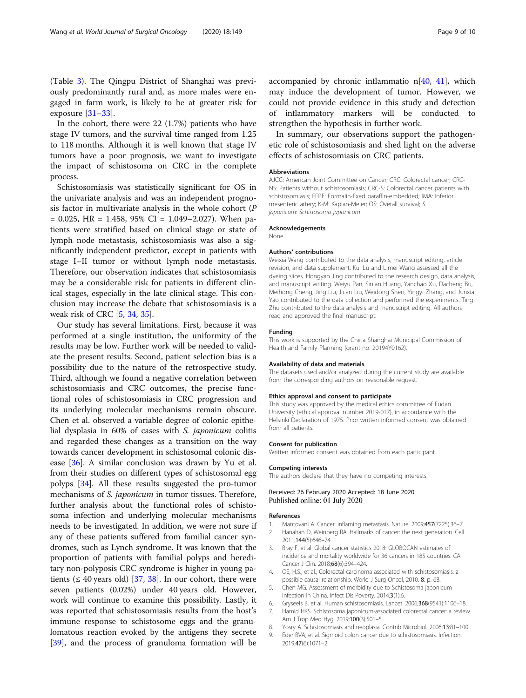<span id="page-8-0"></span>In the cohort, there were 22 (1.7%) patients who have stage IV tumors, and the survival time ranged from 1.25 to 118 months. Although it is well known that stage IV tumors have a poor prognosis, we want to investigate the impact of schistosoma on CRC in the complete process.

Schistosomiasis was statistically significant for OS in the univariate analysis and was an independent prognosis factor in multivariate analysis in the whole cohort (P  $= 0.025$ , HR  $= 1.458$ , 95% CI  $= 1.049 - 2.027$ ). When patients were stratified based on clinical stage or state of lymph node metastasis, schistosomiasis was also a significantly independent predictor, except in patients with stage I–II tumor or without lymph node metastasis. Therefore, our observation indicates that schistosomiasis may be a considerable risk for patients in different clinical stages, especially in the late clinical stage. This conclusion may increase the debate that schistosomiasis is a weak risk of CRC [5, [34](#page-9-0), [35](#page-9-0)].

Our study has several limitations. First, because it was performed at a single institution, the uniformity of the results may be low. Further work will be needed to validate the present results. Second, patient selection bias is a possibility due to the nature of the retrospective study. Third, although we found a negative correlation between schistosomiasis and CRC outcomes, the precise functional roles of schistosomiasis in CRC progression and its underlying molecular mechanisms remain obscure. Chen et al. observed a variable degree of colonic epithelial dysplasia in 60% of cases with S. japonicum colitis and regarded these changes as a transition on the way towards cancer development in schistosomal colonic disease [[36\]](#page-9-0). A similar conclusion was drawn by Yu et al. from their studies on different types of schistosomal egg polyps [[34\]](#page-9-0). All these results suggested the pro-tumor mechanisms of S. japonicum in tumor tissues. Therefore, further analysis about the functional roles of schistosoma infection and underlying molecular mechanisms needs to be investigated. In addition, we were not sure if any of these patients suffered from familial cancer syndromes, such as Lynch syndrome. It was known that the proportion of patients with familial polyps and hereditary non-polyposis CRC syndrome is higher in young patients ( $\leq 40$  years old) [\[37](#page-9-0), [38](#page-9-0)]. In our cohort, there were seven patients (0.02%) under 40 years old. However, work will continue to examine this possibility. Lastly, it was reported that schistosomiasis results from the host's immune response to schistosome eggs and the granulomatous reaction evoked by the antigens they secrete [[39\]](#page-9-0), and the process of granuloma formation will be accompanied by chronic inflammatio  $n[40, 41]$  $n[40, 41]$  $n[40, 41]$  $n[40, 41]$ , which may induce the development of tumor. However, we could not provide evidence in this study and detection of inflammatory markers will be conducted to strengthen the hypothesis in further work.

In summary, our observations support the pathogenetic role of schistosomiasis and shed light on the adverse effects of schistosomiasis on CRC patients.

# Abbreviations

AJCC: American Joint Committee on Cancer; CRC: Colorectal cancer; CRC-NS: Patients without schistosomiasis; CRC-S: Colorectal cancer patients with schistosomiasis; FFPE: Formalin-fixed paraffin-embedded; IMA: Inferior mesenteric artery; K-M: Kaplan-Meier; OS: Overall survival; S. japonicum: Schistosoma japonicum

### Acknowledgements

None

#### Authors' contributions

Weixia Wang contributed to the data analysis, manuscript editing, article revision, and data supplement. Kui Lu and Limei Wang assessed all the dyeing slices. Hongyan Jing contributed to the research design, data analysis, and manuscript writing. Weiyu Pan, Sinian Huang, Yanchao Xu, Dacheng Bu, Meihong Cheng, Jing Liu, Jican Liu, Weidong Shen, Yingyi Zhang, and Junxia Yao contributed to the data collection and performed the experiments. Ting Zhu contributed to the data analysis and manuscript editing. All authors read and approved the final manuscript.

## Funding

This work is supported by the China Shanghai Municipal Commission of Health and Family Planning (grant no. 20194Y0162).

#### Availability of data and materials

The datasets used and/or analyzed during the current study are available from the corresponding authors on reasonable request.

# Ethics approval and consent to participate

This study was approved by the medical ethics committee of Fudan University (ethical approval number 2019-017), in accordance with the Helsinki Declaration of 1975. Prior written informed consent was obtained from all patients.

#### Consent for publication

Written informed consent was obtained from each participant.

#### Competing interests

The authors declare that they have no competing interests.

# Received: 26 February 2020 Accepted: 18 June 2020 Published online: 01 July 2020

#### References

- 1. Mantovani A. Cancer: inflaming metastasis. Nature. 2009;457(7225):36–7.
- 2. Hanahan D, Weinberg RA. Hallmarks of cancer: the next generation. Cell. 2011;144(5):646–74.
- 3. Bray F, et al. Global cancer statistics 2018: GLOBOCAN estimates of incidence and mortality worldwide for 36 cancers in 185 countries. CA Cancer J Clin. 2018;68(6):394–424.
- 4. OE, H.S., et al., Colorectal carcinoma associated with schistosomiasis: a possible causal relationship. World J Surg Oncol, 2010. 8: p. 68.
- 5. Chen MG. Assessment of morbidity due to Schistosoma japonicum infection in China. Infect Dis Poverty. 2014;3(1):6.
- 6. Gryseels B, et al. Human schistosomiasis. Lancet. 2006;368(9541):1106–18.
- 7. Hamid HKS. Schistosoma japonicum-associated colorectal cancer: a review. Am J Trop Med Hyg. 2019;100(3):501–5.
- 8. Yosry A. Schistosomiasis and neoplasia. Contrib Microbiol. 2006;13:81–100.
- 9. Eder BVA, et al. Sigmoid colon cancer due to schistosomiasis. Infection. 2019;47(6):1071–2.